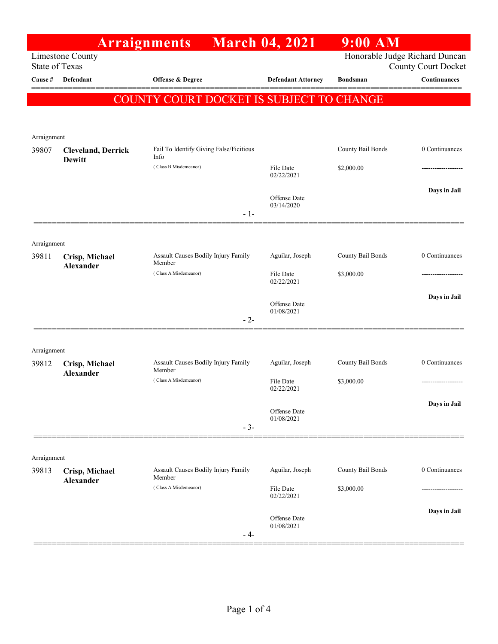|                                  |                           | <b>Arraignments</b>                             | <b>March 04, 2021</b>      | $9:00$ AM         |                                            |
|----------------------------------|---------------------------|-------------------------------------------------|----------------------------|-------------------|--------------------------------------------|
|                                  | <b>Limestone County</b>   |                                                 |                            |                   | Honorable Judge Richard Duncan             |
| <b>State of Texas</b><br>Cause # | Defendant                 | Offense & Degree                                | <b>Defendant Attorney</b>  | <b>Bondsman</b>   | <b>County Court Docket</b><br>Continuances |
|                                  |                           |                                                 |                            |                   |                                            |
|                                  |                           | COUNTY COURT DOCKET IS SUBJECT TO CHANGE        |                            |                   |                                            |
|                                  |                           |                                                 |                            |                   |                                            |
| Arraignment                      |                           |                                                 |                            |                   |                                            |
| 39807                            | <b>Cleveland, Derrick</b> | Fail To Identify Giving False/Ficitious<br>Info |                            | County Bail Bonds | 0 Continuances                             |
|                                  | Dewitt                    | (Class B Misdemeanor)                           | File Date                  | \$2,000.00        |                                            |
|                                  |                           |                                                 | 02/22/2021                 |                   |                                            |
|                                  |                           |                                                 | Offense Date               |                   | Days in Jail                               |
|                                  |                           | $-1-$                                           | 03/14/2020                 |                   |                                            |
|                                  |                           |                                                 |                            |                   |                                            |
| Arraignment                      |                           |                                                 |                            |                   |                                            |
| 39811                            | Crisp, Michael            | Assault Causes Bodily Injury Family             | Aguilar, Joseph            | County Bail Bonds | 0 Continuances                             |
|                                  | Alexander                 | Member<br>(Class A Misdemeanor)                 | File Date                  | \$3,000.00        |                                            |
|                                  |                           |                                                 | 02/22/2021                 |                   |                                            |
|                                  |                           |                                                 | Offense Date               |                   | Days in Jail                               |
|                                  |                           | $-2-$                                           | 01/08/2021                 |                   |                                            |
|                                  |                           |                                                 |                            |                   |                                            |
| Arraignment                      |                           |                                                 |                            |                   |                                            |
| 39812                            | Crisp, Michael            | Assault Causes Bodily Injury Family             | Aguilar, Joseph            | County Bail Bonds | 0 Continuances                             |
|                                  | Alexander                 | Member<br>(Class A Misdemeanor)                 | File Date                  | \$3,000.00        |                                            |
|                                  |                           |                                                 | 02/22/2021                 |                   |                                            |
|                                  |                           |                                                 | Offense Date               |                   | Days in Jail                               |
|                                  |                           | $-3-$                                           | 01/08/2021                 |                   |                                            |
|                                  |                           |                                                 |                            |                   |                                            |
| Arraignment                      |                           |                                                 |                            |                   |                                            |
| 39813                            | Crisp, Michael            | Assault Causes Bodily Injury Family             | Aguilar, Joseph            | County Bail Bonds | 0 Continuances                             |
|                                  | Alexander                 | Member<br>(Class A Misdemeanor)                 |                            |                   |                                            |
|                                  |                           |                                                 | File Date<br>02/22/2021    | \$3,000.00        | ----------------                           |
|                                  |                           |                                                 |                            |                   | Days in Jail                               |
|                                  |                           |                                                 | Offense Date<br>01/08/2021 |                   |                                            |
|                                  |                           | - 4-                                            |                            |                   |                                            |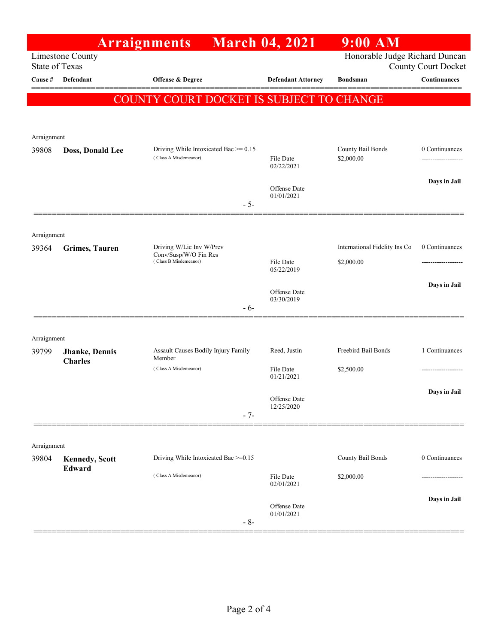|                                           |                                          | <b>Arraignments</b>                                                        | <b>March 04, 2021</b>      | $9:00$ AM                                                    |                |
|-------------------------------------------|------------------------------------------|----------------------------------------------------------------------------|----------------------------|--------------------------------------------------------------|----------------|
| Limestone County<br><b>State of Texas</b> |                                          |                                                                            |                            | Honorable Judge Richard Duncan<br><b>County Court Docket</b> |                |
| Cause #                                   | Defendant                                | Offense & Degree                                                           | <b>Defendant Attorney</b>  | <b>Bondsman</b>                                              | Continuances   |
|                                           |                                          | COUNTY COURT DOCKET IS SUBJECT TO CHANGE                                   |                            |                                                              |                |
| Arraignment                               |                                          |                                                                            |                            |                                                              |                |
| 39808                                     | Doss, Donald Lee                         | Driving While Intoxicated Bac $\geq 0.15$<br>(Class A Misdemeanor)         | File Date<br>02/22/2021    | County Bail Bonds<br>\$2,000.00                              | 0 Continuances |
|                                           |                                          | $-5-$                                                                      | Offense Date<br>01/01/2021 |                                                              | Days in Jail   |
| Arraignment                               |                                          |                                                                            |                            |                                                              |                |
| 39364                                     | <b>Grimes, Tauren</b>                    | Driving W/Lic Inv W/Prev<br>Conv/Susp/W/O Fin Res<br>(Class B Misdemeanor) | File Date<br>05/22/2019    | International Fidelity Ins Co<br>\$2,000.00                  | 0 Continuances |
|                                           |                                          | - 6-                                                                       | Offense Date<br>03/30/2019 |                                                              | Days in Jail   |
| Arraignment                               |                                          |                                                                            |                            |                                                              |                |
| 39799                                     | <b>Jhanke</b> , Dennis<br><b>Charles</b> | Assault Causes Bodily Injury Family<br>Member                              | Reed, Justin               | Freebird Bail Bonds                                          | 1 Continuances |
|                                           |                                          | (Class A Misdemeanor)                                                      | File Date<br>01/21/2021    | \$2,500.00                                                   |                |
|                                           |                                          | $-7-$                                                                      | Offense Date<br>12/25/2020 |                                                              | Days in Jail   |
| Arraignment                               |                                          |                                                                            |                            |                                                              |                |
| 39804                                     | <b>Kennedy, Scott</b><br>Edward          | Driving While Intoxicated Bac >=0.15                                       |                            | <b>County Bail Bonds</b>                                     | 0 Continuances |
|                                           |                                          | (Class A Misdemeanor)                                                      | File Date<br>02/01/2021    | \$2,000.00                                                   |                |
|                                           |                                          | $-8-$                                                                      | Offense Date<br>01/01/2021 |                                                              | Days in Jail   |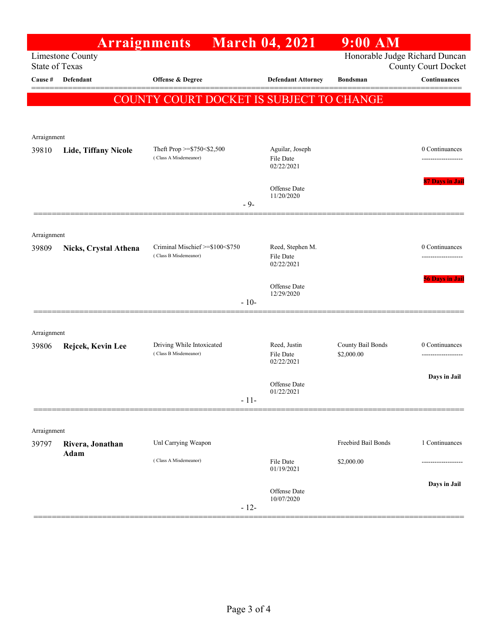|                                                                                                           | <b>Arraignments</b>         |                                                     |        | <b>March 04, 2021</b>                      | $9:00$ AM                       |                                    |
|-----------------------------------------------------------------------------------------------------------|-----------------------------|-----------------------------------------------------|--------|--------------------------------------------|---------------------------------|------------------------------------|
| Honorable Judge Richard Duncan<br>Limestone County<br><b>State of Texas</b><br><b>County Court Docket</b> |                             |                                                     |        |                                            |                                 |                                    |
| <b>Cause</b> #                                                                                            | Defendant                   | Offense & Degree                                    |        | <b>Defendant Attorney</b>                  | <b>Bondsman</b>                 | Continuances                       |
|                                                                                                           |                             | COUNTY COURT DOCKET IS SUBJECT TO CHANGE            |        |                                            |                                 |                                    |
|                                                                                                           |                             |                                                     |        |                                            |                                 |                                    |
|                                                                                                           |                             |                                                     |        |                                            |                                 |                                    |
| Arraignment                                                                                               |                             |                                                     |        |                                            |                                 |                                    |
| 39810                                                                                                     | <b>Lide, Tiffany Nicole</b> | Theft Prop >=\$750<\$2,500<br>(Class A Misdemeanor) |        | Aguilar, Joseph<br>File Date<br>02/22/2021 |                                 | 0 Continuances                     |
|                                                                                                           |                             |                                                     |        | Offense Date<br>11/20/2020                 |                                 | 87 Days in Jail                    |
|                                                                                                           |                             | $-9-$                                               |        |                                            |                                 |                                    |
|                                                                                                           |                             |                                                     |        |                                            |                                 |                                    |
| Arraignment<br>39809                                                                                      | Nicks, Crystal Athena       | Criminal Mischief >=\$100<\$750                     |        | Reed, Stephen M.                           |                                 | 0 Continuances                     |
|                                                                                                           |                             | (Class B Misdemeanor)                               |        | File Date<br>02/22/2021                    |                                 |                                    |
|                                                                                                           |                             |                                                     | $-10-$ | Offense Date<br>12/29/2020                 |                                 | <b>56 Days in Jail</b>             |
|                                                                                                           |                             |                                                     |        |                                            |                                 |                                    |
| Arraignment                                                                                               |                             |                                                     |        |                                            |                                 |                                    |
| 39806                                                                                                     | Rejcek, Kevin Lee           | Driving While Intoxicated<br>(Class B Misdemeanor)  |        | Reed, Justin<br>File Date<br>02/22/2021    | County Bail Bonds<br>\$2,000.00 | 0 Continuances<br>---------------- |
|                                                                                                           |                             |                                                     |        |                                            |                                 | Days in Jail                       |
|                                                                                                           |                             |                                                     |        | Offense Date<br>01/22/2021                 |                                 |                                    |
|                                                                                                           |                             |                                                     | $-11-$ |                                            |                                 |                                    |
|                                                                                                           |                             |                                                     |        |                                            |                                 |                                    |
| Arraignment<br>39797                                                                                      | Rivera, Jonathan            | Unl Carrying Weapon                                 |        |                                            | Freebird Bail Bonds             | 1 Continuances                     |
|                                                                                                           | Adam                        | (Class A Misdemeanor)                               |        |                                            |                                 |                                    |
|                                                                                                           |                             |                                                     |        | File Date<br>01/19/2021                    | \$2,000.00                      |                                    |
|                                                                                                           |                             |                                                     |        | Offense Date                               |                                 | Days in Jail                       |
|                                                                                                           |                             |                                                     | $-12-$ | 10/07/2020                                 |                                 |                                    |